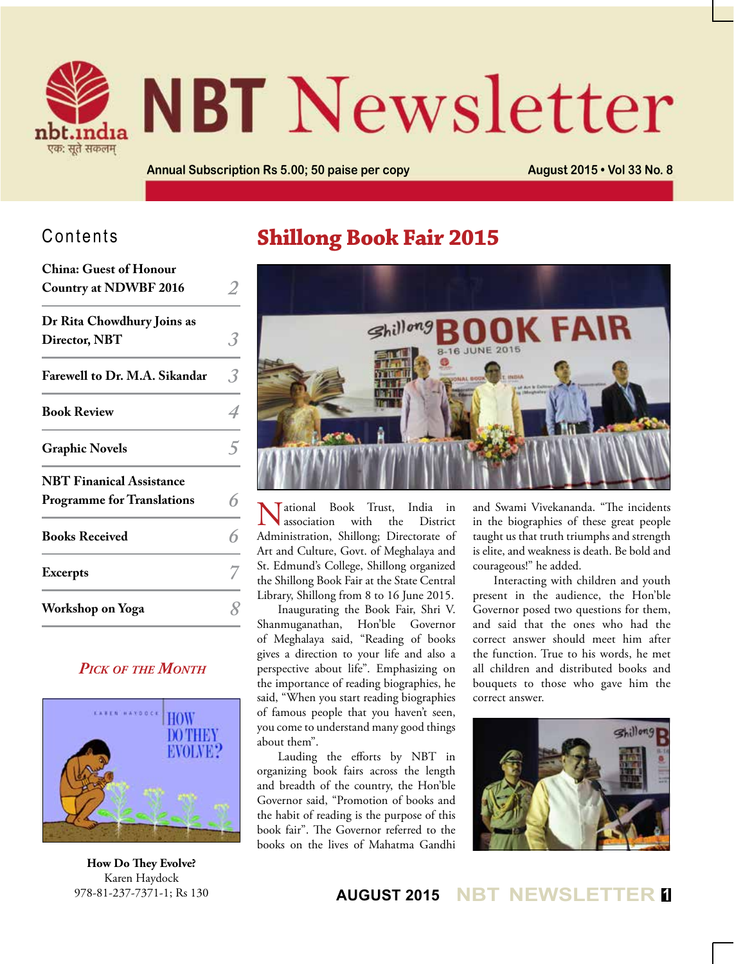

# **NBT** Newsletter

**Annual Subscription Rs 5.00; 50 paise per copy August 2015 • Vol 33 No. 8**

#### Contents

| <b>China: Guest of Honour</b><br><b>Country at NDWBF 2016</b>        |  |
|----------------------------------------------------------------------|--|
| Dr Rita Chowdhury Joins as<br>Director, NBT                          |  |
| Farewell to Dr. M.A. Sikandar                                        |  |
| <b>Book Review</b>                                                   |  |
| <b>Graphic Novels</b>                                                |  |
| <b>NBT Finanical Assistance</b><br><b>Programme for Translations</b> |  |
| <b>Books Received</b>                                                |  |
| <b>Excerpts</b>                                                      |  |
| Workshop on Yoga                                                     |  |

#### *Pick of the Month*



**How Do They Evolve?** Karen Haydock 978-81-237-7371-1; Rs 130

# **Shillong Book Fair 2015**



National Book Trust, India in association with the District Administration, Shillong; Directorate of Art and Culture, Govt. of Meghalaya and St. Edmund's College, Shillong organized the Shillong Book Fair at the State Central Library, Shillong from 8 to 16 June 2015.

Inaugurating the Book Fair, Shri V. Shanmuganathan, Hon'ble Governor of Meghalaya said, "Reading of books gives a direction to your life and also a perspective about life". Emphasizing on the importance of reading biographies, he said, "When you start reading biographies of famous people that you haven't seen, you come to understand many good things about them".

Lauding the efforts by NBT in organizing book fairs across the length and breadth of the country, the Hon'ble Governor said, "Promotion of books and the habit of reading is the purpose of this book fair". The Governor referred to the books on the lives of Mahatma Gandhi

and Swami Vivekananda. "The incidents in the biographies of these great people taught us that truth triumphs and strength is elite, and weakness is death. Be bold and courageous!" he added.

Interacting with children and youth present in the audience, the Hon'ble Governor posed two questions for them, and said that the ones who had the correct answer should meet him after the function. True to his words, he met all children and distributed books and bouquets to those who gave him the correct answer.



#### **AUGUST 2015 NBT NEWSLETTER <sup>1</sup>**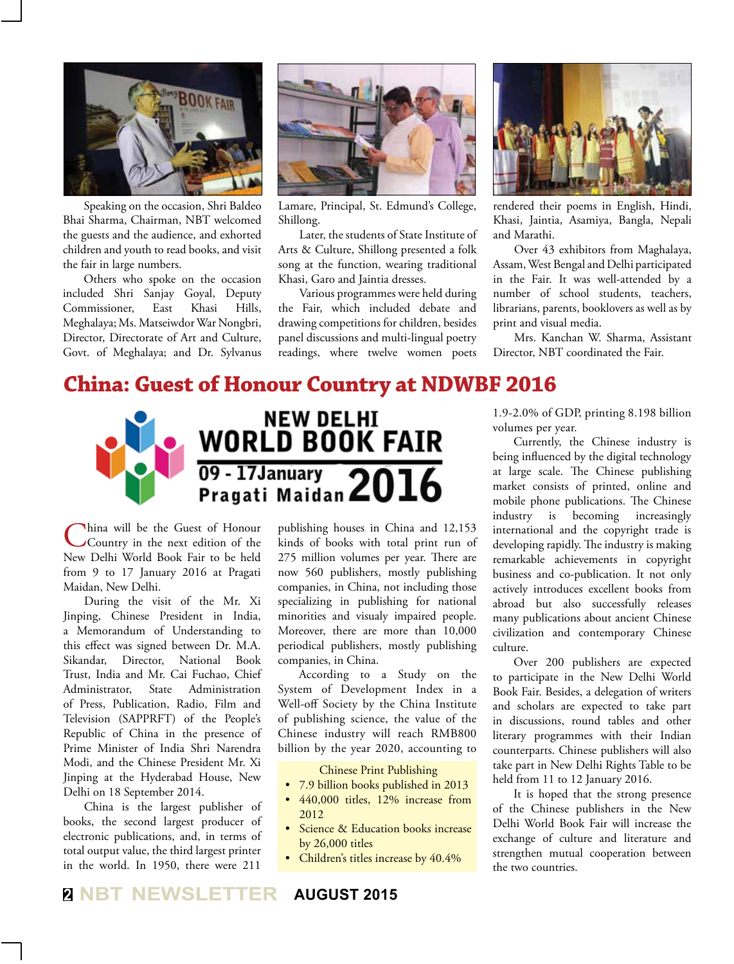

Speaking on the occasion, Shri Baldeo Bhai Sharma, Chairman, NBT welcomed the guests and the audience, and exhorted children and youth to read books, and visit the fair in large numbers.

Others who spoke on the occasion included Shri Sanjay Goyal, Deputy Commissioner, East Khasi Hills, Meghalaya; Ms. Matseiwdor War Nongbri, Director, Directorate of Art and Culture, Govt. of Meghalaya; and Dr. Sylvanus



Lamare, Principal, St. Edmund's College, Shillong.

Later, the students of State Institute of Arts & Culture, Shillong presented a folk song at the function, wearing traditional Khasi, Garo and Jaintia dresses.

Various programmes were held during the Fair, which included debate and drawing competitions for children, besides panel discussions and multi-lingual poetry readings, where twelve women poets



rendered their poems in English, Hindi, Khasi, Jaintia, Asamiya, Bangla, Nepali and Marathi.

Over 43 exhibitors from Maghalaya, Assam, West Bengal and Delhi participated in the Fair. It was well-attended by a number of school students, teachers, librarians, parents, booklovers as well as by print and visual media.

Mrs. Kanchan W. Sharma, Assistant Director, NBT coordinated the Fair.

#### **China: Guest of Honour Country at NDWBF 2016**



China will be the Guest of Honour<br>Country in the next edition of the New Delhi World Book Fair to be held from 9 to 17 January 2016 at Pragati Maidan, New Delhi.

During the visit of the Mr. Xi Jinping, Chinese President in India, a Memorandum of Understanding to this effect was signed between Dr. M.A. Sikandar, Director, National Book Trust, India and Mr. Cai Fuchao, Chief Administrator, State Administration of Press, Publication, Radio, Film and Television (SAPPRFT) of the People's Republic of China in the presence of Prime Minister of India Shri Narendra Modi, and the Chinese President Mr. Xi Jinping at the Hyderabad House, New Delhi on 18 September 2014.

China is the largest publisher of books, the second largest producer of electronic publications, and, in terms of total output value, the third largest printer in the world. In 1950, there were 211

publishing houses in China and 12,153 kinds of books with total print run of 275 million volumes per year. There are now 560 publishers, mostly publishing companies, in China, not including those specializing in publishing for national minorities and visualy impaired people. Moreover, there are more than 10,000 periodical publishers, mostly publishing companies, in China.

According to a Study on the System of Development Index in a Well-off Society by the China Institute of publishing science, the value of the Chinese industry will reach RMB800 billion by the year 2020, accounting to

Chinese Print Publishing

- 7.9 billion books published in 2013
- 440,000 titles, 12% increase from 2012
- Science & Education books increase by 26,000 titles
- Children's titles increase by 40.4%

1.9-2.0% of GDP, printing 8.198 billion volumes per year.

Currently, the Chinese industry is being influenced by the digital technology at large scale. The Chinese publishing market consists of printed, online and mobile phone publications. The Chinese industry is becoming increasingly international and the copyright trade is developing rapidly. The industry is making remarkable achievements in copyright business and co-publication. It not only actively introduces excellent books from abroad but also successfully releases many publications about ancient Chinese civilization and contemporary Chinese culture.

Over 200 publishers are expected to participate in the New Delhi World Book Fair. Besides, a delegation of writers and scholars are expected to take part in discussions, round tables and other literary programmes with their Indian counterparts. Chinese publishers will also take part in New Delhi Rights Table to be held from 11 to 12 January 2016.

It is hoped that the strong presence of the Chinese publishers in the New Delhi World Book Fair will increase the exchange of culture and literature and strengthen mutual cooperation between the two countries.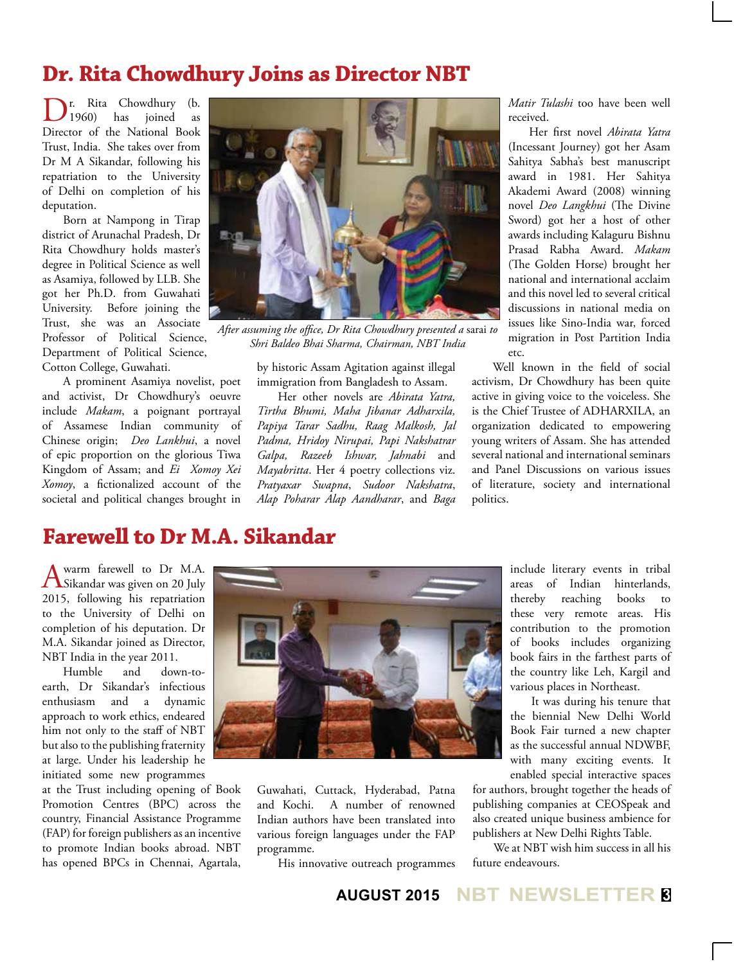# **Dr. Rita Chowdhury Joins as Director NBT**

r. Rita Chowdhury (b.<br>1960) has ioined as joined Director of the National Book Trust, India. She takes over from Dr M A Sikandar, following his repatriation to the University of Delhi on completion of his deputation.

Born at Nampong in Tirap district of Arunachal Pradesh, Dr Rita Chowdhury holds master's degree in Political Science as well as Asamiya, followed by LLB. She got her Ph.D. from Guwahati University. Before joining the Trust, she was an Associate Professor of Political Science, Department of Political Science, Cotton College, Guwahati.

A prominent Asamiya novelist, poet and activist, Dr Chowdhury's oeuvre include *Makam*, a poignant portrayal of Assamese Indian community of Chinese origin; *Deo Lankhui*, a novel of epic proportion on the glorious Tiwa Kingdom of Assam; and *Ei Xomoy Xei Xomoy*, a fictionalized account of the societal and political changes brought in



*After assuming the office, Dr Rita Chowdhury presented a* sarai *to Shri Baldeo Bhai Sharma, Chairman, NBT India*

by historic Assam Agitation against illegal immigration from Bangladesh to Assam.

Her other novels are *Abirata Yatra, Tirtha Bhumi, Maha Jibanar Adharxila, Papiya Tarar Sadhu, Raag Malkosh, Jal Padma, Hridoy Nirupai, Papi Nakshatrar Galpa, Razeeb Ishwar, Jahnabi* and *Mayabritta*. Her 4 poetry collections viz. *Pratyaxar Swapna*, *Sudoor Nakshatra*, *Alap Poharar Alap Aandharar*, and *Baga*  *Matir Tulashi* too have been well received.

Her first novel *Abirata Yatra*  (Incessant Journey) got her Asam Sahitya Sabha's best manuscript award in 1981. Her Sahitya Akademi Award (2008) winning novel *Deo Langkhui* (The Divine Sword) got her a host of other awards including Kalaguru Bishnu Prasad Rabha Award. *Makam* (The Golden Horse) brought her national and international acclaim and this novel led to several critical discussions in national media on issues like Sino-India war, forced migration in Post Partition India etc.

Well known in the field of social activism, Dr Chowdhury has been quite active in giving voice to the voiceless. She is the Chief Trustee of ADHARXILA, an organization dedicated to empowering young writers of Assam. She has attended several national and international seminars and Panel Discussions on various issues of literature, society and international politics.

# **Farewell to Dr M.A. Sikandar**

A warm farewell to Dr M.A.<br>Sikandar was given on 20 July 2015, following his repatriation to the University of Delhi on completion of his deputation. Dr M.A. Sikandar joined as Director, NBT India in the year 2011.

Humble and down-toearth, Dr Sikandar's infectious enthusiasm and a dynamic approach to work ethics, endeared him not only to the staff of NBT but also to the publishing fraternity at large. Under his leadership he initiated some new programmes

at the Trust including opening of Book Promotion Centres (BPC) across the country, Financial Assistance Programme (FAP) for foreign publishers as an incentive to promote Indian books abroad. NBT has opened BPCs in Chennai, Agartala,



Guwahati, Cuttack, Hyderabad, Patna and Kochi. A number of renowned Indian authors have been translated into various foreign languages under the FAP programme.

His innovative outreach programmes

include literary events in tribal areas of Indian hinterlands, thereby reaching books to these very remote areas. His contribution to the promotion of books includes organizing book fairs in the farthest parts of the country like Leh, Kargil and various places in Northeast.

It was during his tenure that the biennial New Delhi World Book Fair turned a new chapter as the successful annual NDWBF, with many exciting events. It enabled special interactive spaces

for authors, brought together the heads of publishing companies at CEOSpeak and also created unique business ambience for publishers at New Delhi Rights Table.

We at NBT wish him success in all his future endeavours.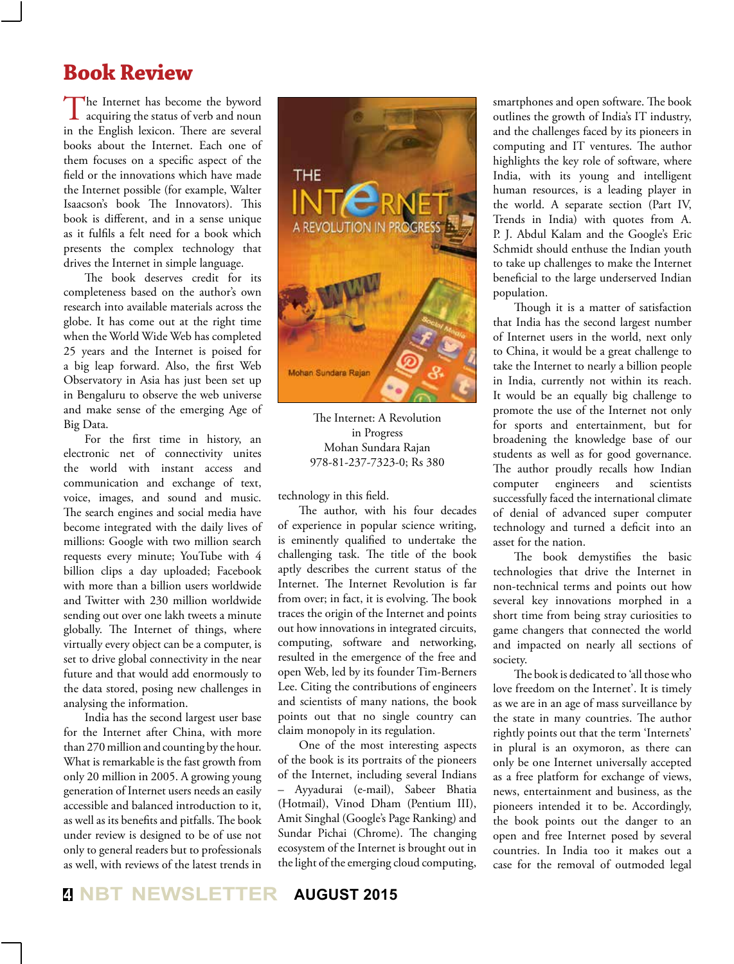# **Book Review**

The Internet has become the byword<br>acquiring the status of verb and noun in the English lexicon. There are several books about the Internet. Each one of them focuses on a specific aspect of the field or the innovations which have made the Internet possible (for example, Walter Isaacson's book The Innovators). This book is different, and in a sense unique as it fulfils a felt need for a book which presents the complex technology that drives the Internet in simple language.

The book deserves credit for its completeness based on the author's own research into available materials across the globe. It has come out at the right time when the World Wide Web has completed 25 years and the Internet is poised for a big leap forward. Also, the first Web Observatory in Asia has just been set up in Bengaluru to observe the web universe and make sense of the emerging Age of Big Data.

For the first time in history, an electronic net of connectivity unites the world with instant access and communication and exchange of text, voice, images, and sound and music. The search engines and social media have become integrated with the daily lives of millions: Google with two million search requests every minute; YouTube with 4 billion clips a day uploaded; Facebook with more than a billion users worldwide and Twitter with 230 million worldwide sending out over one lakh tweets a minute globally. The Internet of things, where virtually every object can be a computer, is set to drive global connectivity in the near future and that would add enormously to the data stored, posing new challenges in analysing the information.

India has the second largest user base for the Internet after China, with more than 270 million and counting by the hour. What is remarkable is the fast growth from only 20 million in 2005. A growing young generation of Internet users needs an easily accessible and balanced introduction to it, as well as its benefits and pitfalls. The book under review is designed to be of use not only to general readers but to professionals as well, with reviews of the latest trends in



The Internet: A Revolution in Progress Mohan Sundara Rajan 978-81-237-7323-0; Rs 380

technology in this field.

The author, with his four decades of experience in popular science writing, is eminently qualified to undertake the challenging task. The title of the book aptly describes the current status of the Internet. The Internet Revolution is far from over; in fact, it is evolving. The book traces the origin of the Internet and points out how innovations in integrated circuits, computing, software and networking, resulted in the emergence of the free and open Web, led by its founder Tim-Berners Lee. Citing the contributions of engineers and scientists of many nations, the book points out that no single country can claim monopoly in its regulation.

One of the most interesting aspects of the book is its portraits of the pioneers of the Internet, including several Indians – Ayyadurai (e-mail), Sabeer Bhatia (Hotmail), Vinod Dham (Pentium III), Amit Singhal (Google's Page Ranking) and Sundar Pichai (Chrome). The changing ecosystem of the Internet is brought out in the light of the emerging cloud computing,

smartphones and open software. The book outlines the growth of India's IT industry, and the challenges faced by its pioneers in computing and IT ventures. The author highlights the key role of software, where India, with its young and intelligent human resources, is a leading player in the world. A separate section (Part IV, Trends in India) with quotes from A. P. J. Abdul Kalam and the Google's Eric Schmidt should enthuse the Indian youth to take up challenges to make the Internet beneficial to the large underserved Indian population.

Though it is a matter of satisfaction that India has the second largest number of Internet users in the world, next only to China, it would be a great challenge to take the Internet to nearly a billion people in India, currently not within its reach. It would be an equally big challenge to promote the use of the Internet not only for sports and entertainment, but for broadening the knowledge base of our students as well as for good governance. The author proudly recalls how Indian computer engineers and scientists successfully faced the international climate of denial of advanced super computer technology and turned a deficit into an asset for the nation.

The book demystifies the basic technologies that drive the Internet in non-technical terms and points out how several key innovations morphed in a short time from being stray curiosities to game changers that connected the world and impacted on nearly all sections of society.

The book is dedicated to 'all those who love freedom on the Internet'. It is timely as we are in an age of mass surveillance by the state in many countries. The author rightly points out that the term 'Internets' in plural is an oxymoron, as there can only be one Internet universally accepted as a free platform for exchange of views, news, entertainment and business, as the pioneers intended it to be. Accordingly, the book points out the danger to an open and free Internet posed by several countries. In India too it makes out a case for the removal of outmoded legal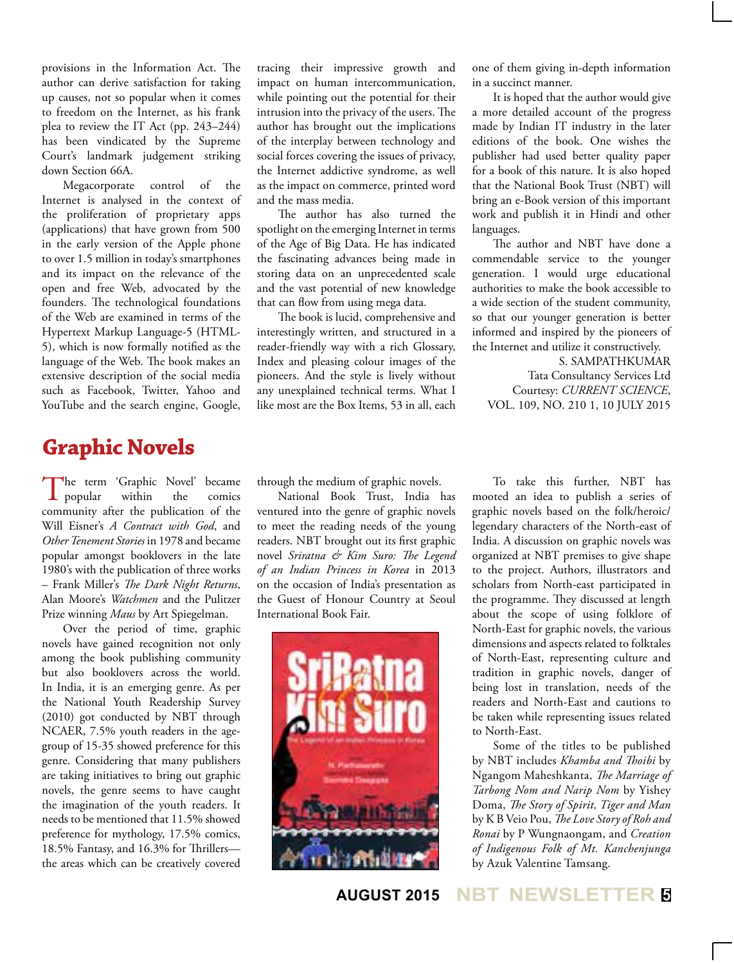provisions in the Information Act. The author can derive satisfaction for taking up causes, not so popular when it comes to freedom on the Internet, as his frank plea to review the IT Act (pp. 243–244) has been vindicated by the Supreme Court's landmark judgement striking down Section 66A.

Megacorporate control of the Internet is analysed in the context of the proliferation of proprietary apps (applications) that have grown from 500 in the early version of the Apple phone to over 1.5 million in today's smartphones and its impact on the relevance of the open and free Web, advocated by the founders. The technological foundations of the Web are examined in terms of the Hypertext Markup Language-5 (HTML-5), which is now formally notified as the language of the Web. The book makes an extensive description of the social media such as Facebook, Twitter, Yahoo and YouTube and the search engine, Google, tracing their impressive growth and impact on human intercommunication, while pointing out the potential for their intrusion into the privacy of the users. The author has brought out the implications of the interplay between technology and social forces covering the issues of privacy, the Internet addictive syndrome, as well as the impact on commerce, printed word and the mass media.

The author has also turned the spotlight on the emerging Internet in terms of the Age of Big Data. He has indicated the fascinating advances being made in storing data on an unprecedented scale and the vast potential of new knowledge that can flow from using mega data.

The book is lucid, comprehensive and interestingly written, and structured in a reader-friendly way with a rich Glossary, Index and pleasing colour images of the pioneers. And the style is lively without any unexplained technical terms. What I like most are the Box Items, 53 in all, each one of them giving in-depth information in a succinct manner.

It is hoped that the author would give a more detailed account of the progress made by Indian IT industry in the later editions of the book. One wishes the publisher had used better quality paper for a book of this nature. It is also hoped that the National Book Trust (NBT) will bring an e-Book version of this important work and publish it in Hindi and other languages.

The author and NBT have done a commendable service to the younger generation. I would urge educational authorities to make the book accessible to a wide section of the student community, so that our younger generation is better informed and inspired by the pioneers of the Internet and utilize it constructively.

S. SAMPATHKUMAR Tata Consultancy Services Ltd Courtesy: *CURRENT SCIENCE*, VOL. 109, NO. 210 1, 10 JULY 2015

#### **Graphic Novels**

The term 'Graphic Novel' became<br>popular within the comics **L** popular community after the publication of the Will Eisner's *A Contract with God*, and *Other Tenement Stories* in 1978 and became popular amongst booklovers in the late 1980's with the publication of three works – Frank Miller's *The Dark Night Returns*, Alan Moore's *Watchmen* and the Pulitzer Prize winning *Maus* by Art Spiegelman.

Over the period of time, graphic novels have gained recognition not only among the book publishing community but also booklovers across the world. In India, it is an emerging genre. As per the National Youth Readership Survey (2010) got conducted by NBT through NCAER, 7.5% youth readers in the agegroup of 15-35 showed preference for this genre. Considering that many publishers are taking initiatives to bring out graphic novels, the genre seems to have caught the imagination of the youth readers. It needs to be mentioned that 11.5% showed preference for mythology, 17.5% comics, 18.5% Fantasy, and 16.3% for Thrillers the areas which can be creatively covered through the medium of graphic novels.

National Book Trust, India has ventured into the genre of graphic novels to meet the reading needs of the young readers. NBT brought out its first graphic novel *Sriratna & Kim Suro: The Legend of an Indian Princess in Korea* in 2013 on the occasion of India's presentation as the Guest of Honour Country at Seoul International Book Fair.



To take this further, NBT has mooted an idea to publish a series of graphic novels based on the folk/heroic/ legendary characters of the North-east of India. A discussion on graphic novels was organized at NBT premises to give shape to the project. Authors, illustrators and scholars from North-east participated in the programme. They discussed at length about the scope of using folklore of North-East for graphic novels, the various dimensions and aspects related to folktales of North-East, representing culture and tradition in graphic novels, danger of being lost in translation, needs of the readers and North-East and cautions to be taken while representing issues related to North-East.

Some of the titles to be published by NBT includes *Khamba and Thoibi* by Ngangom Maheshkanta, *The Marriage of Tarbong Nom and Narip Nom* by Yishey Doma, *The Story of Spirit, Tiger and Man*  by K B Veio Pou, *The Love Story of Roh and Ronai* by P Wungnaongam, and *Creation of Indigenous Folk of Mt. Kanchenjunga*  by Azuk Valentine Tamsang.

#### **AUGUST 2015 NBT NEWSLETTER <sup>5</sup>**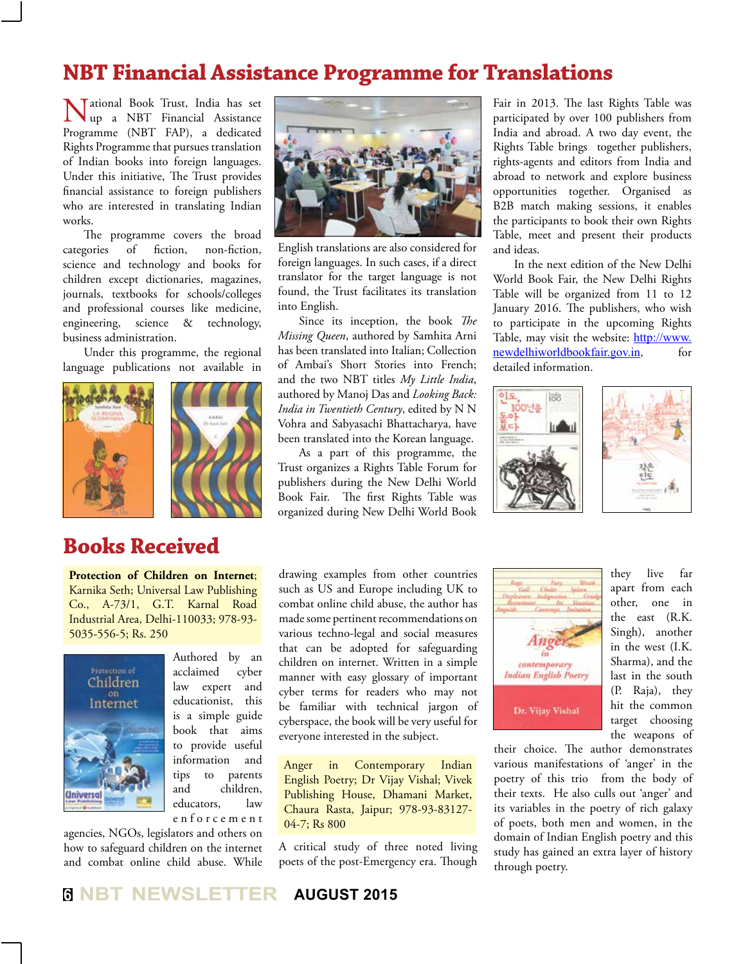#### **NBT Financial Assistance Programme for Translations**

National Book Trust, India has set up a NBT Financial Assistance Programme (NBT FAP), a dedicated Rights Programme that pursues translation of Indian books into foreign languages. Under this initiative, The Trust provides financial assistance to foreign publishers who are interested in translating Indian works.

The programme covers the broad categories of fiction, non-fiction, science and technology and books for children except dictionaries, magazines, journals, textbooks for schools/colleges and professional courses like medicine, engineering, science & technology, business administration.

Under this programme, the regional language publications not available in





#### **Books Received**

**Protection of Children on Internet**; Karnika Seth; Universal Law Publishing Co., A-73/1, G.T. Karnal Road Industrial Area, Delhi-110033; 978-93- 5035-556-5; Rs. 250



Authored by an acclaimed cyber law expert and educationist, this is a simple guide book that aims to provide useful information and tips to parents and children, educators, law e n f o r c e m e n t

agencies, NGOs, legislators and others on how to safeguard children on the internet and combat online child abuse. While



English translations are also considered for foreign languages. In such cases, if a direct translator for the target language is not found, the Trust facilitates its translation into English.

Since its inception, the book *The Missing Queen*, authored by Samhita Arni has been translated into Italian; Collection of Ambai's Short Stories into French; and the two NBT titles *My Little India*, authored by Manoj Das and *Looking Back: India in Twentieth Century*, edited by N N Vohra and Sabyasachi Bhattacharya, have been translated into the Korean language.

As a part of this programme, the Trust organizes a Rights Table Forum for publishers during the New Delhi World Book Fair. The first Rights Table was organized during New Delhi World Book

Fair in 2013. The last Rights Table was participated by over 100 publishers from India and abroad. A two day event, the Rights Table brings together publishers, rights-agents and editors from India and abroad to network and explore business opportunities together. Organised as B2B match making sessions, it enables the participants to book their own Rights Table, meet and present their products and ideas.

In the next edition of the New Delhi World Book Fair, the New Delhi Rights Table will be organized from 11 to 12 January 2016. The publishers, who wish to participate in the upcoming Rights Table, may visit the website: http://www. newdelhiworldbookfair.gov.in, for detailed information.



drawing examples from other countries such as US and Europe including UK to combat online child abuse, the author has made some pertinent recommendations on various techno-legal and social measures that can be adopted for safeguarding children on internet. Written in a simple manner with easy glossary of important cyber terms for readers who may not be familiar with technical jargon of cyberspace, the book will be very useful for everyone interested in the subject.

Anger in Contemporary Indian English Poetry; Dr Vijay Vishal; Vivek Publishing House, Dhamani Market, Chaura Rasta, Jaipur; 978-93-83127- 04-7; Rs 800

A critical study of three noted living poets of the post-Emergency era. Though



they live far apart from each other, one in the east (R.K. Singh), another in the west (I.K. Sharma), and the last in the south (P. Raja), they hit the common target choosing the weapons of

their choice. The author demonstrates various manifestations of 'anger' in the poetry of this trio from the body of their texts. He also culls out 'anger' and its variables in the poetry of rich galaxy of poets, both men and women, in the domain of Indian English poetry and this study has gained an extra layer of history through poetry.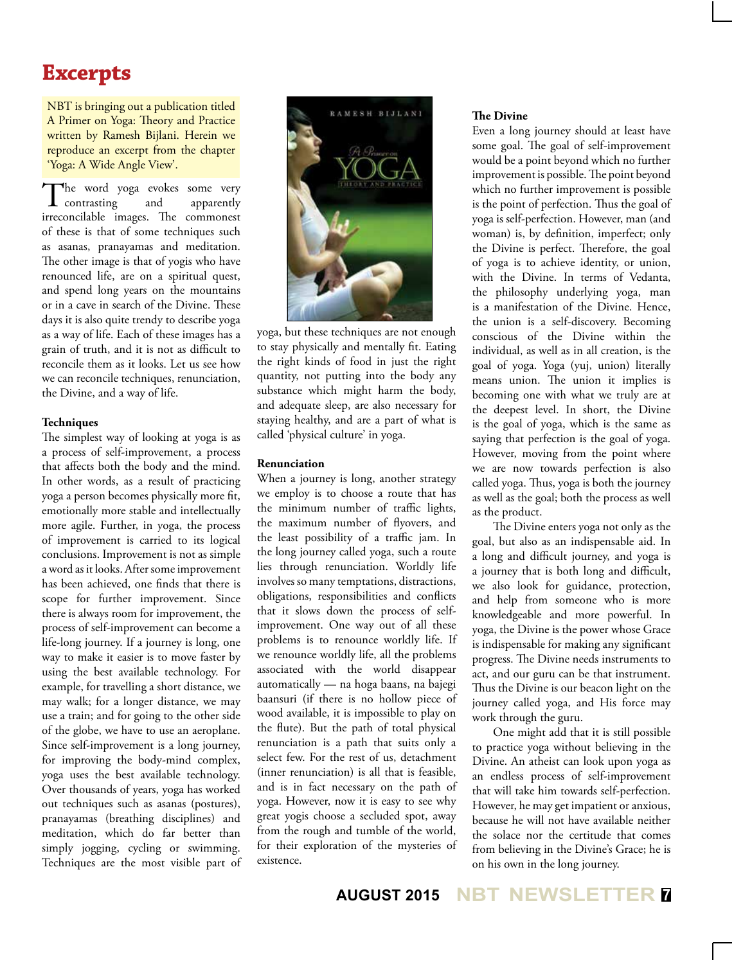# **Excerpts**

NBT is bringing out a publication titled A Primer on Yoga: Theory and Practice written by Ramesh Bijlani. Herein we reproduce an excerpt from the chapter 'Yoga: A Wide Angle View'.

The word yoga evokes some very<br>contrasting and apparently  $\boldsymbol{1}$  contrasting irreconcilable images. The commonest of these is that of some techniques such as asanas, pranayamas and meditation. The other image is that of yogis who have renounced life, are on a spiritual quest, and spend long years on the mountains or in a cave in search of the Divine. These days it is also quite trendy to describe yoga as a way of life. Each of these images has a grain of truth, and it is not as difficult to reconcile them as it looks. Let us see how we can reconcile techniques, renunciation, the Divine, and a way of life.

#### **Techniques**

The simplest way of looking at yoga is as a process of self-improvement, a process that affects both the body and the mind. In other words, as a result of practicing yoga a person becomes physically more fit, emotionally more stable and intellectually more agile. Further, in yoga, the process of improvement is carried to its logical conclusions. Improvement is not as simple a word as it looks. After some improvement has been achieved, one finds that there is scope for further improvement. Since there is always room for improvement, the process of self-improvement can become a life-long journey. If a journey is long, one way to make it easier is to move faster by using the best available technology. For example, for travelling a short distance, we may walk; for a longer distance, we may use a train; and for going to the other side of the globe, we have to use an aeroplane. Since self-improvement is a long journey, for improving the body-mind complex, yoga uses the best available technology. Over thousands of years, yoga has worked out techniques such as asanas (postures), pranayamas (breathing disciplines) and meditation, which do far better than simply jogging, cycling or swimming. Techniques are the most visible part of



yoga, but these techniques are not enough to stay physically and mentally fit. Eating the right kinds of food in just the right quantity, not putting into the body any substance which might harm the body, and adequate sleep, are also necessary for staying healthy, and are a part of what is called 'physical culture' in yoga.

#### **Renunciation**

When a journey is long, another strategy we employ is to choose a route that has the minimum number of traffic lights, the maximum number of flyovers, and the least possibility of a traffic jam. In the long journey called yoga, such a route lies through renunciation. Worldly life involves so many temptations, distractions, obligations, responsibilities and conflicts that it slows down the process of selfimprovement. One way out of all these problems is to renounce worldly life. If we renounce worldly life, all the problems associated with the world disappear automatically — na hoga baans, na bajegi baansuri (if there is no hollow piece of wood available, it is impossible to play on the flute). But the path of total physical renunciation is a path that suits only a select few. For the rest of us, detachment (inner renunciation) is all that is feasible, and is in fact necessary on the path of yoga. However, now it is easy to see why great yogis choose a secluded spot, away from the rough and tumble of the world, for their exploration of the mysteries of existence.

#### **The Divine**

Even a long journey should at least have some goal. The goal of self-improvement would be a point beyond which no further improvement is possible. The point beyond which no further improvement is possible is the point of perfection. Thus the goal of yoga is self-perfection. However, man (and woman) is, by definition, imperfect; only the Divine is perfect. Therefore, the goal of yoga is to achieve identity, or union, with the Divine. In terms of Vedanta, the philosophy underlying yoga, man is a manifestation of the Divine. Hence, the union is a self-discovery. Becoming conscious of the Divine within the individual, as well as in all creation, is the goal of yoga. Yoga (yuj, union) literally means union. The union it implies is becoming one with what we truly are at the deepest level. In short, the Divine is the goal of yoga, which is the same as saying that perfection is the goal of yoga. However, moving from the point where we are now towards perfection is also called yoga. Thus, yoga is both the journey as well as the goal; both the process as well as the product.

The Divine enters yoga not only as the goal, but also as an indispensable aid. In a long and difficult journey, and yoga is a journey that is both long and difficult, we also look for guidance, protection, and help from someone who is more knowledgeable and more powerful. In yoga, the Divine is the power whose Grace is indispensable for making any significant progress. The Divine needs instruments to act, and our guru can be that instrument. Thus the Divine is our beacon light on the journey called yoga, and His force may work through the guru.

One might add that it is still possible to practice yoga without believing in the Divine. An atheist can look upon yoga as an endless process of self-improvement that will take him towards self-perfection. However, he may get impatient or anxious, because he will not have available neither the solace nor the certitude that comes from believing in the Divine's Grace; he is on his own in the long journey.